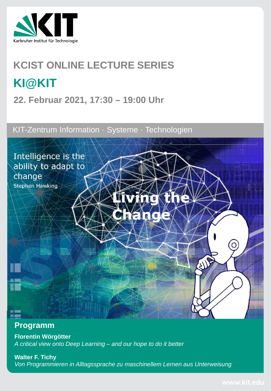

# **KCIST ONLINE LECTURE SERIES KI@KIT**

**22. Februar 2021, 17:30 – 19:00 Uhr**

KIT-Zentrum Information · Systeme · Technologien



### **Programm**

**Florentin Wörgötter** *A critical view onto Deep Learning – and our hope to do it better*

**Walter F. Tichy** *Von Programmieren in Alltagssprache zu maschinellem Lernen aus Unterweisung*